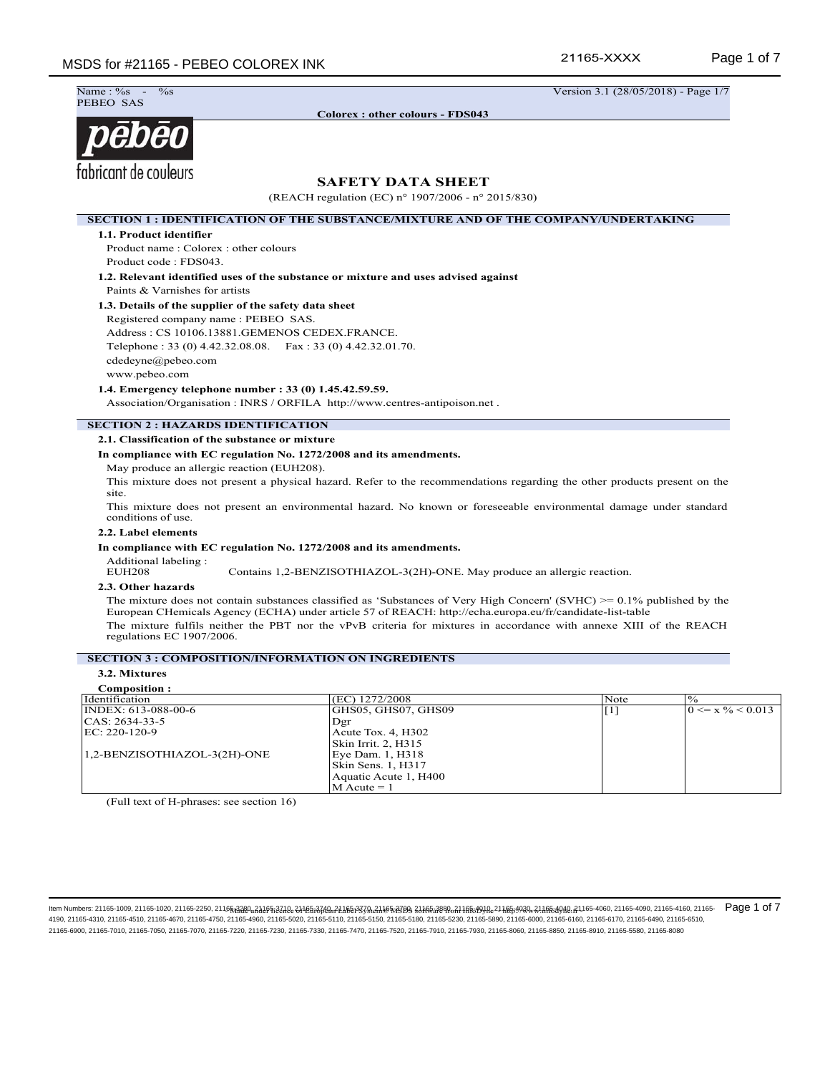21165-XXXX

Name: %<br>PEBEO SAS

**Colorex : other colours - FDS043**

 $\frac{\%}{\%}$  -  $\frac{\%}{\%}$  -  $\frac{1}{28/05/2018}$  - Page 1/7

# pēbēo fabricant de couleurs

# **SAFETY DATA SHEET**

(REACH regulation (EC) n° 1907/2006 - n° 2015/830)

**SECTION 1 : IDENTIFICATION OF THE SUBSTANCE/MIXTURE AND OF THE COMPANY/UNDERTAKING 1.1. Product identifier** Product name : Colorex : other colours Product code : FDS043. **1.2. Relevant identified uses of the substance or mixture and uses advised against** Paints & Varnishes for artists **1.3. Details of the supplier of the safety data sheet** Registered company name : PEBEO SAS. Address : CS 10106.13881.GEMENOS CEDEX.FRANCE. Telephone : 33 (0) 4.42.32.08.08. Fax : 33 (0) 4.42.32.01.70. cdedeyne@pebeo.com www.pebeo.com **1.4. Emergency telephone number : 33 (0) 1.45.42.59.59.** Association/Organisation : INRS / ORFILA http://www.centres-antipoison.net . **SECTION 2 : HAZARDS IDENTIFICATION 2.1. Classification of the substance or mixture In compliance with EC regulation No. 1272/2008 and its amendments.** May produce an allergic reaction (EUH208). This mixture does not present a physical hazard. Refer to the recommendations regarding the other products present on the site. This mixture does not present an environmental hazard. No known or foreseeable environmental damage under standard conditions of use. **2.2. Label elements In compliance with EC regulation No. 1272/2008 and its amendments.** Additional labeling :<br>EUH208 Contains 1,2-BENZISOTHIAZOL-3(2H)-ONE. May produce an allergic reaction. **2.3. Other hazards** The mixture does not contain substances classified as 'Substances of Very High Concern' (SVHC) >= 0.1% published by the European CHemicals Agency (ECHA) under article 57 of REACH: http://echa.europa.eu/fr/candidate-list-table

The mixture fulfils neither the PBT nor the vPvB criteria for mixtures in accordance with annexe XIII of the REACH regulations EC 1907/2006.

# **SECTION 3 : COMPOSITION/INFORMATION ON INGREDIENTS**

**3.2. Mixtures Composition :**<br>**Identification**  $\sqrt{EC}$  1272/2008 Note  $\sqrt{\frac{6}{5}}$ INDEX: 613-088-00-6 CAS: 2634-33-5 EC: 220-120-9 1,2-BENZISOTHIAZOL-3(2H)-ONE GHS05, GHS07, GHS09 Dgr Acute Tox. 4, H302 Skin Irrit. 2, H315 Eye Dam. 1, H318 Skin Sens. 1, H317 Aquatic Acute 1, H400  $M$  Acute = 1  $[1]$   $0 \le x \frac{9}{6} < 0.013$ 

(Full text of H-phrases: see section 16)

ltem Numbers: 21165-1009, 21165-1020, 21165-2250, 2116<del>5,3220, 21105,220, 21165,370, 21165,370, 2116539, 21165,289, 21165,289, 21165,499, 21165,499, 21165,499, 21165-4060, 21165-4090, 21165-4090, 21165-4160, 21165-40, 2116</del> 4190, 21165-4310, 21165-4510, 21165-4670, 21165-4750, 21165-4760, 21165-5020, 21165-5110, 21165-5150, 21165-5180, 21165-5230, 21165-5890, 21165-6000, 21165-6100, 21165-6100, 21165-6170, 21165-6490, 21165-610, 21165-6510, 21165-6900, 21165-7010, 21165-7050, 21165-7070, 21165-7220, 21165-7230, 21165-7330, 21165-7470, 21165-7520, 21165-7910, 21165-7930, 21165-8060, 21165-8850, 21165-8910, 21165-5580, 21165-8080 Page 1 of 7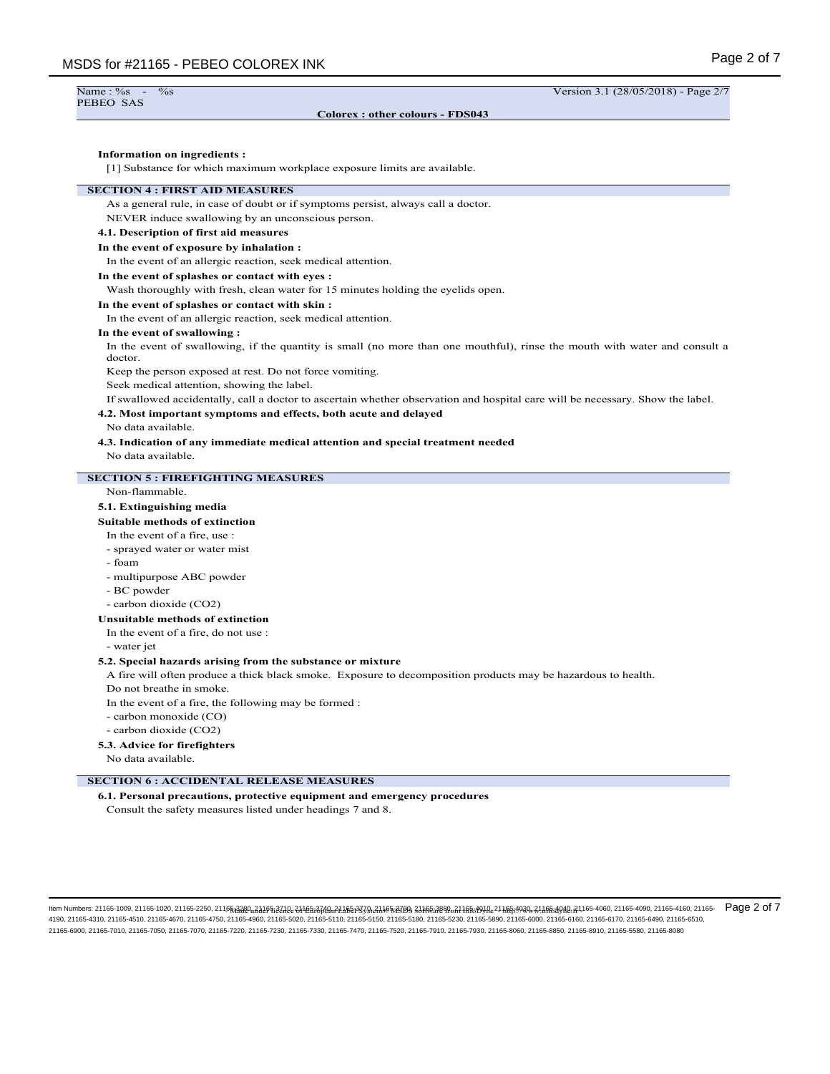| Name: %s  | $\overline{\phantom{0}}$ | $\%$ s |
|-----------|--------------------------|--------|
| PEBEO SAS |                          |        |

**Colorex : other colours - FDS043**

Version 3.1 (28/05/2018) - Page 2/7

## **Information on ingredients :**

[1] Substance for which maximum workplace exposure limits are available.

# **SECTION 4 : FIRST AID MEASURES**

As a general rule, in case of doubt or if symptoms persist, always call a doctor.

NEVER induce swallowing by an unconscious person.

# **4.1. Description of first aid measures**

# **In the event of exposure by inhalation :**

In the event of an allergic reaction, seek medical attention.

# **In the event of splashes or contact with eyes :**

Wash thoroughly with fresh, clean water for 15 minutes holding the eyelids open.

## **In the event of splashes or contact with skin :**

In the event of an allergic reaction, seek medical attention.

#### **In the event of swallowing :**

In the event of swallowing, if the quantity is small (no more than one mouthful), rinse the mouth with water and consult a doctor.

Keep the person exposed at rest. Do not force vomiting.

Seek medical attention, showing the label.

If swallowed accidentally, call a doctor to ascertain whether observation and hospital care will be necessary. Show the label.

#### **4.2. Most important symptoms and effects, both acute and delayed**

No data available.

**4.3. Indication of any immediate medical attention and special treatment needed**

No data available.

# **SECTION 5 : FIREFIGHTING MEASURES**

#### Non-flammable.

#### **5.1. Extinguishing media**

#### **Suitable methods of extinction**

In the event of a fire, use :

- sprayed water or water mist
- foam
- multipurpose ABC powder
- BC powder
- carbon dioxide (CO2)

#### **Unsuitable methods of extinction**

In the event of a fire, do not use :

- water jet

# **5.2. Special hazards arising from the substance or mixture**

A fire will often produce a thick black smoke. Exposure to decomposition products may be hazardous to health.

Do not breathe in smoke.

In the event of a fire, the following may be formed :

- carbon monoxide (CO)
- carbon dioxide (CO2)

#### **5.3. Advice for firefighters**

No data available.

# **SECTION 6 : ACCIDENTAL RELEASE MEASURES**

**6.1. Personal precautions, protective equipment and emergency procedures** Consult the safety measures listed under headings 7 and 8.

ltem Numbers: 21165-1009, 21165-1020, 21165-2250, 21165<sub>13</sub>220u<sub>n</sub>216552240e-2116En3760un2116En3760un2116E5379un21855379un218En38840e-2116554940un2116E549940e-2116E54940e-21165-4060, 21165-4090, 21165-4090, 21165-4090, 211 4190, 21165-4310, 21165-4510, 21165-4670, 21165-4750, 21165-4960, 21165-5020, 21165-5110, 21165-5150, 21165-6180, 21165-5230, 21165-6390, 21165-6900, 21165-6160, 21165-6170, 21165-6490, 21165-600, 21165-600, 21165-6610, 211 21165-6900, 21165-7010, 21165-7050, 21165-7070, 21165-7220, 21165-7230, 21165-7330, 21165-7470, 21165-7520, 21165-7910, 21165-7930, 21165-8060, 21165-8850, 21165-8910, 21165-5580, 21165-8080 Page 2 of 7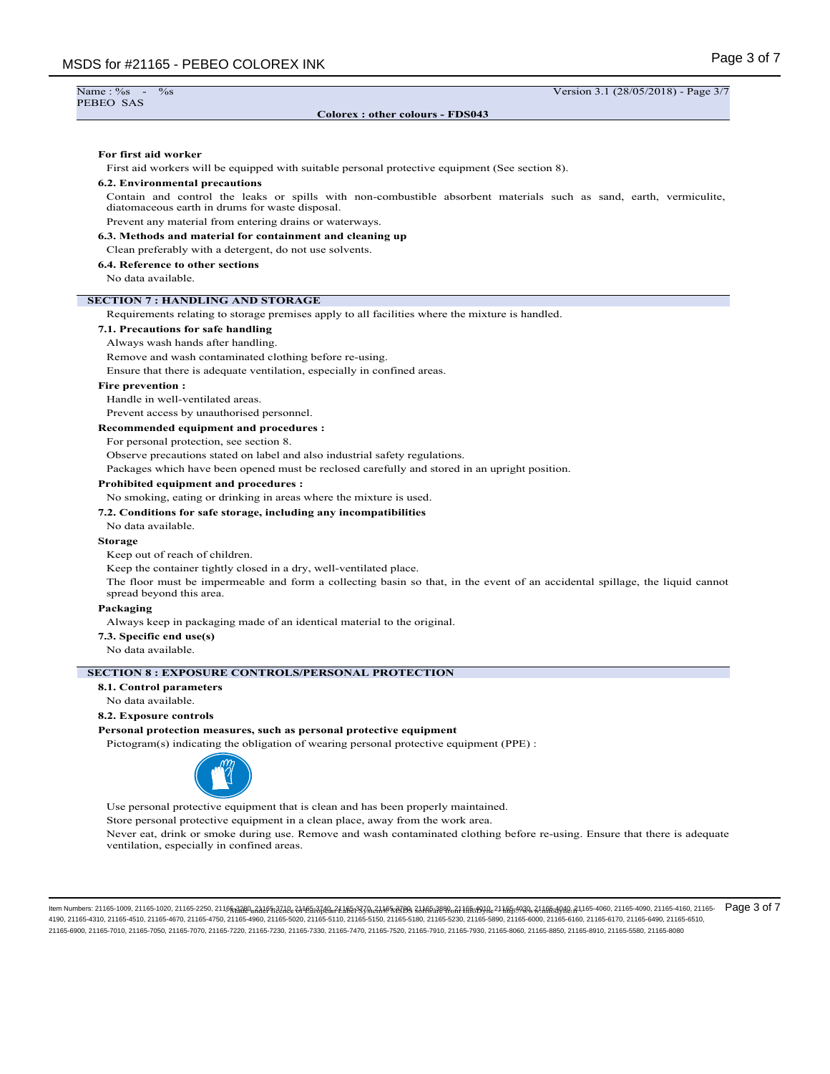| Colorex: other colours - FDS043<br>First aid workers will be equipped with suitable personal protective equipment (See section 8).<br>Contain and control the leaks or spills with non-combustible absorbent materials such as sand, earth, vermiculite,<br>diatomaceous earth in drums for waste disposal.<br>Prevent any material from entering drains or waterways.<br>Clean preferably with a detergent, do not use solvents.<br>No data available.<br>Requirements relating to storage premises apply to all facilities where the mixture is handled.<br>Always wash hands after handling.<br>Remove and wash contaminated clothing before re-using.<br>Ensure that there is adequate ventilation, especially in confined areas.<br>Handle in well-ventilated areas.<br>Prevent access by unauthorised personnel.<br>For personal protection, see section 8.<br>Observe precautions stated on label and also industrial safety regulations.<br>Packages which have been opened must be reclosed carefully and stored in an upright position.<br>No smoking, eating or drinking in areas where the mixture is used.<br>No data available.<br>Keep out of reach of children.<br>Keep the container tightly closed in a dry, well-ventilated place.<br>The floor must be impermeable and form a collecting basin so that, in the event of an accidental spillage, the liquid cannot<br>spread beyond this area.<br>Always keep in packaging made of an identical material to the original.<br>No data available.<br>No data available.<br>Pictogram(s) indicating the obligation of wearing personal protective equipment (PPE) :<br>Use personal protective equipment that is clean and has been properly maintained.<br>Store personal protective equipment in a clean place, away from the work area.<br>Never eat, drink or smoke during use. Remove and wash contaminated clothing before re-using. Ensure that there is adequate<br>ventilation, especially in confined areas. | Name: %s -<br>PEBEO SAS | $\%$ s<br>Version 3.1 (28/05/2018) - Page 3/7 |
|----------------------------------------------------------------------------------------------------------------------------------------------------------------------------------------------------------------------------------------------------------------------------------------------------------------------------------------------------------------------------------------------------------------------------------------------------------------------------------------------------------------------------------------------------------------------------------------------------------------------------------------------------------------------------------------------------------------------------------------------------------------------------------------------------------------------------------------------------------------------------------------------------------------------------------------------------------------------------------------------------------------------------------------------------------------------------------------------------------------------------------------------------------------------------------------------------------------------------------------------------------------------------------------------------------------------------------------------------------------------------------------------------------------------------------------------------------------------------------------------------------------------------------------------------------------------------------------------------------------------------------------------------------------------------------------------------------------------------------------------------------------------------------------------------------------------------------------------------------------------------------------------------------------------------------------------------------------------------------------|-------------------------|-----------------------------------------------|
|                                                                                                                                                                                                                                                                                                                                                                                                                                                                                                                                                                                                                                                                                                                                                                                                                                                                                                                                                                                                                                                                                                                                                                                                                                                                                                                                                                                                                                                                                                                                                                                                                                                                                                                                                                                                                                                                                                                                                                                        |                         |                                               |
| For first aid worker                                                                                                                                                                                                                                                                                                                                                                                                                                                                                                                                                                                                                                                                                                                                                                                                                                                                                                                                                                                                                                                                                                                                                                                                                                                                                                                                                                                                                                                                                                                                                                                                                                                                                                                                                                                                                                                                                                                                                                   |                         |                                               |
| <b>6.2. Environmental precautions</b>                                                                                                                                                                                                                                                                                                                                                                                                                                                                                                                                                                                                                                                                                                                                                                                                                                                                                                                                                                                                                                                                                                                                                                                                                                                                                                                                                                                                                                                                                                                                                                                                                                                                                                                                                                                                                                                                                                                                                  |                         |                                               |
|                                                                                                                                                                                                                                                                                                                                                                                                                                                                                                                                                                                                                                                                                                                                                                                                                                                                                                                                                                                                                                                                                                                                                                                                                                                                                                                                                                                                                                                                                                                                                                                                                                                                                                                                                                                                                                                                                                                                                                                        |                         |                                               |
|                                                                                                                                                                                                                                                                                                                                                                                                                                                                                                                                                                                                                                                                                                                                                                                                                                                                                                                                                                                                                                                                                                                                                                                                                                                                                                                                                                                                                                                                                                                                                                                                                                                                                                                                                                                                                                                                                                                                                                                        |                         |                                               |
|                                                                                                                                                                                                                                                                                                                                                                                                                                                                                                                                                                                                                                                                                                                                                                                                                                                                                                                                                                                                                                                                                                                                                                                                                                                                                                                                                                                                                                                                                                                                                                                                                                                                                                                                                                                                                                                                                                                                                                                        |                         |                                               |
| 6.3. Methods and material for containment and cleaning up<br>6.4. Reference to other sections<br>7.1. Precautions for safe handling<br><b>Fire prevention:</b><br>Recommended equipment and procedures :<br>Prohibited equipment and procedures :<br>7.2. Conditions for safe storage, including any incompatibilities<br>Packaging<br>7.3. Specific end use(s)<br>8.1. Control parameters                                                                                                                                                                                                                                                                                                                                                                                                                                                                                                                                                                                                                                                                                                                                                                                                                                                                                                                                                                                                                                                                                                                                                                                                                                                                                                                                                                                                                                                                                                                                                                                             |                         |                                               |
|                                                                                                                                                                                                                                                                                                                                                                                                                                                                                                                                                                                                                                                                                                                                                                                                                                                                                                                                                                                                                                                                                                                                                                                                                                                                                                                                                                                                                                                                                                                                                                                                                                                                                                                                                                                                                                                                                                                                                                                        |                         |                                               |
|                                                                                                                                                                                                                                                                                                                                                                                                                                                                                                                                                                                                                                                                                                                                                                                                                                                                                                                                                                                                                                                                                                                                                                                                                                                                                                                                                                                                                                                                                                                                                                                                                                                                                                                                                                                                                                                                                                                                                                                        |                         |                                               |
| <b>SECTION 7: HANDLING AND STORAGE</b><br><b>Storage</b><br>8.2. Exposure controls<br>Personal protection measures, such as personal protective equipment                                                                                                                                                                                                                                                                                                                                                                                                                                                                                                                                                                                                                                                                                                                                                                                                                                                                                                                                                                                                                                                                                                                                                                                                                                                                                                                                                                                                                                                                                                                                                                                                                                                                                                                                                                                                                              |                         |                                               |
|                                                                                                                                                                                                                                                                                                                                                                                                                                                                                                                                                                                                                                                                                                                                                                                                                                                                                                                                                                                                                                                                                                                                                                                                                                                                                                                                                                                                                                                                                                                                                                                                                                                                                                                                                                                                                                                                                                                                                                                        |                         |                                               |
|                                                                                                                                                                                                                                                                                                                                                                                                                                                                                                                                                                                                                                                                                                                                                                                                                                                                                                                                                                                                                                                                                                                                                                                                                                                                                                                                                                                                                                                                                                                                                                                                                                                                                                                                                                                                                                                                                                                                                                                        |                         |                                               |
|                                                                                                                                                                                                                                                                                                                                                                                                                                                                                                                                                                                                                                                                                                                                                                                                                                                                                                                                                                                                                                                                                                                                                                                                                                                                                                                                                                                                                                                                                                                                                                                                                                                                                                                                                                                                                                                                                                                                                                                        |                         |                                               |
| <b>SECTION 8 : EXPOSURE CONTROLS/PERSONAL PROTECTION</b>                                                                                                                                                                                                                                                                                                                                                                                                                                                                                                                                                                                                                                                                                                                                                                                                                                                                                                                                                                                                                                                                                                                                                                                                                                                                                                                                                                                                                                                                                                                                                                                                                                                                                                                                                                                                                                                                                                                               |                         |                                               |
|                                                                                                                                                                                                                                                                                                                                                                                                                                                                                                                                                                                                                                                                                                                                                                                                                                                                                                                                                                                                                                                                                                                                                                                                                                                                                                                                                                                                                                                                                                                                                                                                                                                                                                                                                                                                                                                                                                                                                                                        |                         |                                               |
|                                                                                                                                                                                                                                                                                                                                                                                                                                                                                                                                                                                                                                                                                                                                                                                                                                                                                                                                                                                                                                                                                                                                                                                                                                                                                                                                                                                                                                                                                                                                                                                                                                                                                                                                                                                                                                                                                                                                                                                        |                         |                                               |
|                                                                                                                                                                                                                                                                                                                                                                                                                                                                                                                                                                                                                                                                                                                                                                                                                                                                                                                                                                                                                                                                                                                                                                                                                                                                                                                                                                                                                                                                                                                                                                                                                                                                                                                                                                                                                                                                                                                                                                                        |                         |                                               |
|                                                                                                                                                                                                                                                                                                                                                                                                                                                                                                                                                                                                                                                                                                                                                                                                                                                                                                                                                                                                                                                                                                                                                                                                                                                                                                                                                                                                                                                                                                                                                                                                                                                                                                                                                                                                                                                                                                                                                                                        |                         |                                               |
|                                                                                                                                                                                                                                                                                                                                                                                                                                                                                                                                                                                                                                                                                                                                                                                                                                                                                                                                                                                                                                                                                                                                                                                                                                                                                                                                                                                                                                                                                                                                                                                                                                                                                                                                                                                                                                                                                                                                                                                        |                         |                                               |
|                                                                                                                                                                                                                                                                                                                                                                                                                                                                                                                                                                                                                                                                                                                                                                                                                                                                                                                                                                                                                                                                                                                                                                                                                                                                                                                                                                                                                                                                                                                                                                                                                                                                                                                                                                                                                                                                                                                                                                                        |                         |                                               |
|                                                                                                                                                                                                                                                                                                                                                                                                                                                                                                                                                                                                                                                                                                                                                                                                                                                                                                                                                                                                                                                                                                                                                                                                                                                                                                                                                                                                                                                                                                                                                                                                                                                                                                                                                                                                                                                                                                                                                                                        |                         |                                               |
|                                                                                                                                                                                                                                                                                                                                                                                                                                                                                                                                                                                                                                                                                                                                                                                                                                                                                                                                                                                                                                                                                                                                                                                                                                                                                                                                                                                                                                                                                                                                                                                                                                                                                                                                                                                                                                                                                                                                                                                        |                         |                                               |
|                                                                                                                                                                                                                                                                                                                                                                                                                                                                                                                                                                                                                                                                                                                                                                                                                                                                                                                                                                                                                                                                                                                                                                                                                                                                                                                                                                                                                                                                                                                                                                                                                                                                                                                                                                                                                                                                                                                                                                                        |                         |                                               |
|                                                                                                                                                                                                                                                                                                                                                                                                                                                                                                                                                                                                                                                                                                                                                                                                                                                                                                                                                                                                                                                                                                                                                                                                                                                                                                                                                                                                                                                                                                                                                                                                                                                                                                                                                                                                                                                                                                                                                                                        |                         |                                               |
|                                                                                                                                                                                                                                                                                                                                                                                                                                                                                                                                                                                                                                                                                                                                                                                                                                                                                                                                                                                                                                                                                                                                                                                                                                                                                                                                                                                                                                                                                                                                                                                                                                                                                                                                                                                                                                                                                                                                                                                        |                         |                                               |
|                                                                                                                                                                                                                                                                                                                                                                                                                                                                                                                                                                                                                                                                                                                                                                                                                                                                                                                                                                                                                                                                                                                                                                                                                                                                                                                                                                                                                                                                                                                                                                                                                                                                                                                                                                                                                                                                                                                                                                                        |                         |                                               |
|                                                                                                                                                                                                                                                                                                                                                                                                                                                                                                                                                                                                                                                                                                                                                                                                                                                                                                                                                                                                                                                                                                                                                                                                                                                                                                                                                                                                                                                                                                                                                                                                                                                                                                                                                                                                                                                                                                                                                                                        |                         |                                               |
|                                                                                                                                                                                                                                                                                                                                                                                                                                                                                                                                                                                                                                                                                                                                                                                                                                                                                                                                                                                                                                                                                                                                                                                                                                                                                                                                                                                                                                                                                                                                                                                                                                                                                                                                                                                                                                                                                                                                                                                        |                         |                                               |
|                                                                                                                                                                                                                                                                                                                                                                                                                                                                                                                                                                                                                                                                                                                                                                                                                                                                                                                                                                                                                                                                                                                                                                                                                                                                                                                                                                                                                                                                                                                                                                                                                                                                                                                                                                                                                                                                                                                                                                                        |                         |                                               |
|                                                                                                                                                                                                                                                                                                                                                                                                                                                                                                                                                                                                                                                                                                                                                                                                                                                                                                                                                                                                                                                                                                                                                                                                                                                                                                                                                                                                                                                                                                                                                                                                                                                                                                                                                                                                                                                                                                                                                                                        |                         |                                               |
|                                                                                                                                                                                                                                                                                                                                                                                                                                                                                                                                                                                                                                                                                                                                                                                                                                                                                                                                                                                                                                                                                                                                                                                                                                                                                                                                                                                                                                                                                                                                                                                                                                                                                                                                                                                                                                                                                                                                                                                        |                         |                                               |
|                                                                                                                                                                                                                                                                                                                                                                                                                                                                                                                                                                                                                                                                                                                                                                                                                                                                                                                                                                                                                                                                                                                                                                                                                                                                                                                                                                                                                                                                                                                                                                                                                                                                                                                                                                                                                                                                                                                                                                                        |                         |                                               |
|                                                                                                                                                                                                                                                                                                                                                                                                                                                                                                                                                                                                                                                                                                                                                                                                                                                                                                                                                                                                                                                                                                                                                                                                                                                                                                                                                                                                                                                                                                                                                                                                                                                                                                                                                                                                                                                                                                                                                                                        |                         |                                               |
|                                                                                                                                                                                                                                                                                                                                                                                                                                                                                                                                                                                                                                                                                                                                                                                                                                                                                                                                                                                                                                                                                                                                                                                                                                                                                                                                                                                                                                                                                                                                                                                                                                                                                                                                                                                                                                                                                                                                                                                        |                         |                                               |
|                                                                                                                                                                                                                                                                                                                                                                                                                                                                                                                                                                                                                                                                                                                                                                                                                                                                                                                                                                                                                                                                                                                                                                                                                                                                                                                                                                                                                                                                                                                                                                                                                                                                                                                                                                                                                                                                                                                                                                                        |                         |                                               |
|                                                                                                                                                                                                                                                                                                                                                                                                                                                                                                                                                                                                                                                                                                                                                                                                                                                                                                                                                                                                                                                                                                                                                                                                                                                                                                                                                                                                                                                                                                                                                                                                                                                                                                                                                                                                                                                                                                                                                                                        |                         |                                               |
|                                                                                                                                                                                                                                                                                                                                                                                                                                                                                                                                                                                                                                                                                                                                                                                                                                                                                                                                                                                                                                                                                                                                                                                                                                                                                                                                                                                                                                                                                                                                                                                                                                                                                                                                                                                                                                                                                                                                                                                        |                         |                                               |
|                                                                                                                                                                                                                                                                                                                                                                                                                                                                                                                                                                                                                                                                                                                                                                                                                                                                                                                                                                                                                                                                                                                                                                                                                                                                                                                                                                                                                                                                                                                                                                                                                                                                                                                                                                                                                                                                                                                                                                                        |                         |                                               |
|                                                                                                                                                                                                                                                                                                                                                                                                                                                                                                                                                                                                                                                                                                                                                                                                                                                                                                                                                                                                                                                                                                                                                                                                                                                                                                                                                                                                                                                                                                                                                                                                                                                                                                                                                                                                                                                                                                                                                                                        |                         |                                               |
|                                                                                                                                                                                                                                                                                                                                                                                                                                                                                                                                                                                                                                                                                                                                                                                                                                                                                                                                                                                                                                                                                                                                                                                                                                                                                                                                                                                                                                                                                                                                                                                                                                                                                                                                                                                                                                                                                                                                                                                        |                         |                                               |
|                                                                                                                                                                                                                                                                                                                                                                                                                                                                                                                                                                                                                                                                                                                                                                                                                                                                                                                                                                                                                                                                                                                                                                                                                                                                                                                                                                                                                                                                                                                                                                                                                                                                                                                                                                                                                                                                                                                                                                                        |                         |                                               |
|                                                                                                                                                                                                                                                                                                                                                                                                                                                                                                                                                                                                                                                                                                                                                                                                                                                                                                                                                                                                                                                                                                                                                                                                                                                                                                                                                                                                                                                                                                                                                                                                                                                                                                                                                                                                                                                                                                                                                                                        |                         |                                               |
|                                                                                                                                                                                                                                                                                                                                                                                                                                                                                                                                                                                                                                                                                                                                                                                                                                                                                                                                                                                                                                                                                                                                                                                                                                                                                                                                                                                                                                                                                                                                                                                                                                                                                                                                                                                                                                                                                                                                                                                        |                         |                                               |
|                                                                                                                                                                                                                                                                                                                                                                                                                                                                                                                                                                                                                                                                                                                                                                                                                                                                                                                                                                                                                                                                                                                                                                                                                                                                                                                                                                                                                                                                                                                                                                                                                                                                                                                                                                                                                                                                                                                                                                                        |                         |                                               |
|                                                                                                                                                                                                                                                                                                                                                                                                                                                                                                                                                                                                                                                                                                                                                                                                                                                                                                                                                                                                                                                                                                                                                                                                                                                                                                                                                                                                                                                                                                                                                                                                                                                                                                                                                                                                                                                                                                                                                                                        |                         |                                               |
|                                                                                                                                                                                                                                                                                                                                                                                                                                                                                                                                                                                                                                                                                                                                                                                                                                                                                                                                                                                                                                                                                                                                                                                                                                                                                                                                                                                                                                                                                                                                                                                                                                                                                                                                                                                                                                                                                                                                                                                        |                         |                                               |

ltem Numbers: 21165-1009, 21165-1020, 21165-2250, 2116<del>5,1280, 12165,2810, 21165,3740, 2165,370, 2165,370, 2185,5870, 2185,5880, 21165,480, 21165,492, 2155,492, 2165-4060, 21165-4060, 21165-4160, 21165-6170, 21165-6170, 21</del> 21165-6900, 21165-7010, 21165-7050, 21165-7070, 21165-7220, 21165-7230, 21165-7330, 21165-7470, 21165-7520, 21165-7910, 21165-7930, 21165-8060, 21165-8850, 21165-8910, 21165-5580, 21165-8080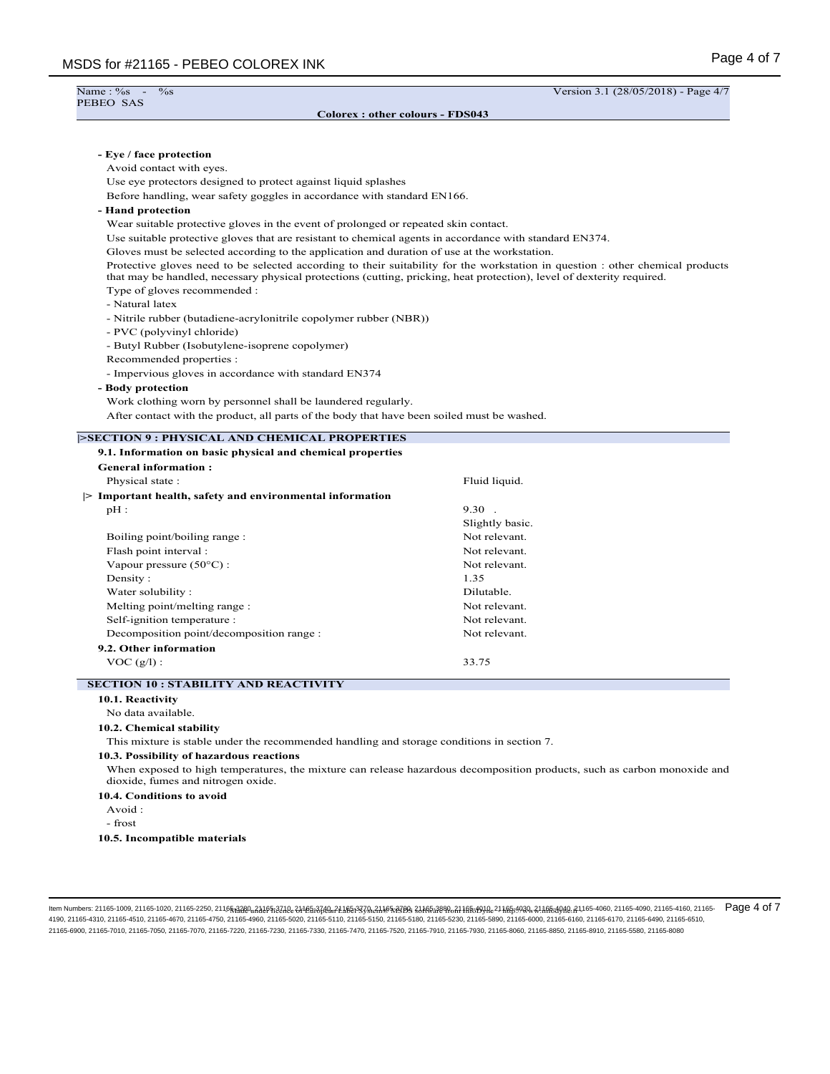| Name: %s<br>$\%$ s<br>$\sim$ $-$<br>PEBEO SAS                                                                                          | Version 3.1 (28/05/2018) - Page 4/7                                                                                            |
|----------------------------------------------------------------------------------------------------------------------------------------|--------------------------------------------------------------------------------------------------------------------------------|
| Colorex: other colours - FDS043                                                                                                        |                                                                                                                                |
|                                                                                                                                        |                                                                                                                                |
|                                                                                                                                        |                                                                                                                                |
| - Eye / face protection<br>Avoid contact with eyes.                                                                                    |                                                                                                                                |
| Use eye protectors designed to protect against liquid splashes                                                                         |                                                                                                                                |
| Before handling, wear safety goggles in accordance with standard EN166.                                                                |                                                                                                                                |
| - Hand protection                                                                                                                      |                                                                                                                                |
| Wear suitable protective gloves in the event of prolonged or repeated skin contact.                                                    |                                                                                                                                |
| Use suitable protective gloves that are resistant to chemical agents in accordance with standard EN374.                                |                                                                                                                                |
| Gloves must be selected according to the application and duration of use at the workstation.                                           |                                                                                                                                |
| that may be handled, necessary physical protections (cutting, pricking, heat protection), level of dexterity required.                 | Protective gloves need to be selected according to their suitability for the workstation in question : other chemical products |
| Type of gloves recommended :                                                                                                           |                                                                                                                                |
| - Natural latex                                                                                                                        |                                                                                                                                |
| - Nitrile rubber (butadiene-acrylonitrile copolymer rubber (NBR))                                                                      |                                                                                                                                |
| - PVC (polyvinyl chloride)                                                                                                             |                                                                                                                                |
| - Butyl Rubber (Isobutylene-isoprene copolymer)                                                                                        |                                                                                                                                |
| Recommended properties :                                                                                                               |                                                                                                                                |
| - Impervious gloves in accordance with standard EN374                                                                                  |                                                                                                                                |
| - Body protection                                                                                                                      |                                                                                                                                |
| Work clothing worn by personnel shall be laundered regularly.                                                                          |                                                                                                                                |
| After contact with the product, all parts of the body that have been soiled must be washed.                                            |                                                                                                                                |
|                                                                                                                                        |                                                                                                                                |
| <b>SECTION 9 : PHYSICAL AND CHEMICAL PROPERTIES</b>                                                                                    |                                                                                                                                |
|                                                                                                                                        |                                                                                                                                |
| 9.1. Information on basic physical and chemical properties                                                                             |                                                                                                                                |
| <b>General information:</b>                                                                                                            |                                                                                                                                |
| Physical state:                                                                                                                        | Fluid liquid.                                                                                                                  |
| $\triangleright$ Important health, safety and environmental information                                                                |                                                                                                                                |
| $pH$ :                                                                                                                                 | $9.30$ .                                                                                                                       |
|                                                                                                                                        | Slightly basic.                                                                                                                |
| Boiling point/boiling range :                                                                                                          | Not relevant.                                                                                                                  |
| Flash point interval :                                                                                                                 | Not relevant.                                                                                                                  |
| Vapour pressure $(50^{\circ}C)$ :                                                                                                      | Not relevant.                                                                                                                  |
| Density:                                                                                                                               | 1.35                                                                                                                           |
| Water solubility:                                                                                                                      | Dilutable.                                                                                                                     |
| Melting point/melting range :                                                                                                          | Not relevant.                                                                                                                  |
| Self-ignition temperature :                                                                                                            | Not relevant.                                                                                                                  |
| Decomposition point/decomposition range :                                                                                              | Not relevant.                                                                                                                  |
| 9.2. Other information                                                                                                                 |                                                                                                                                |
| $\text{VOC (g/l)}:$                                                                                                                    | 33.75                                                                                                                          |
| <b>SECTION 10 : STABILITY AND REACTIVITY</b>                                                                                           |                                                                                                                                |
| 10.1. Reactivity                                                                                                                       |                                                                                                                                |
| No data available.                                                                                                                     |                                                                                                                                |
| 10.2. Chemical stability                                                                                                               |                                                                                                                                |
| This mixture is stable under the recommended handling and storage conditions in section 7.<br>10.3. Possibility of hazardous reactions |                                                                                                                                |

#### **10.4. Conditions to avoid**

Avoid :

- frost

**10.5. Incompatible materials**

llem Numbers: 21165-1009, 21165-1020, 21165-2250, 2115<del>&A220, A</del>A&F\$;Z4Ae&H<del>E&B3A4, 21.A&B3</del>ZgA&A\$F\$ZyA&A\$F&RB& 3JA&S#2B&A1AF&BAA&11A&BAQ&21AF&BAQ&21AF&BAQ&21AF&BAQ&2.21AF&BAQ&2.21AF&BAQ&2.21165-4060, 21165-4090, 21165-409 4190, 21165-4310, 21165-4510, 21165-4670, 21165-4750, 21165-4960, 21165-5020, 21165-5110, 21165-5150, 21165-5180, 21165-5390, 21165-6990, 21165-6100, 21165-6170, 21165-6170, 21165-6490, 21165-6170, 21165-6170, 21165-6490, 2 21165-6900, 21165-7010, 21165-7050, 21165-7070, 21165-7220, 21165-7230, 21165-7330, 21165-7470, 21165-7520, 21165-7910, 21165-7930, 21165-8060, 21165-8850, 21165-8910, 21165-5580, 21165-8080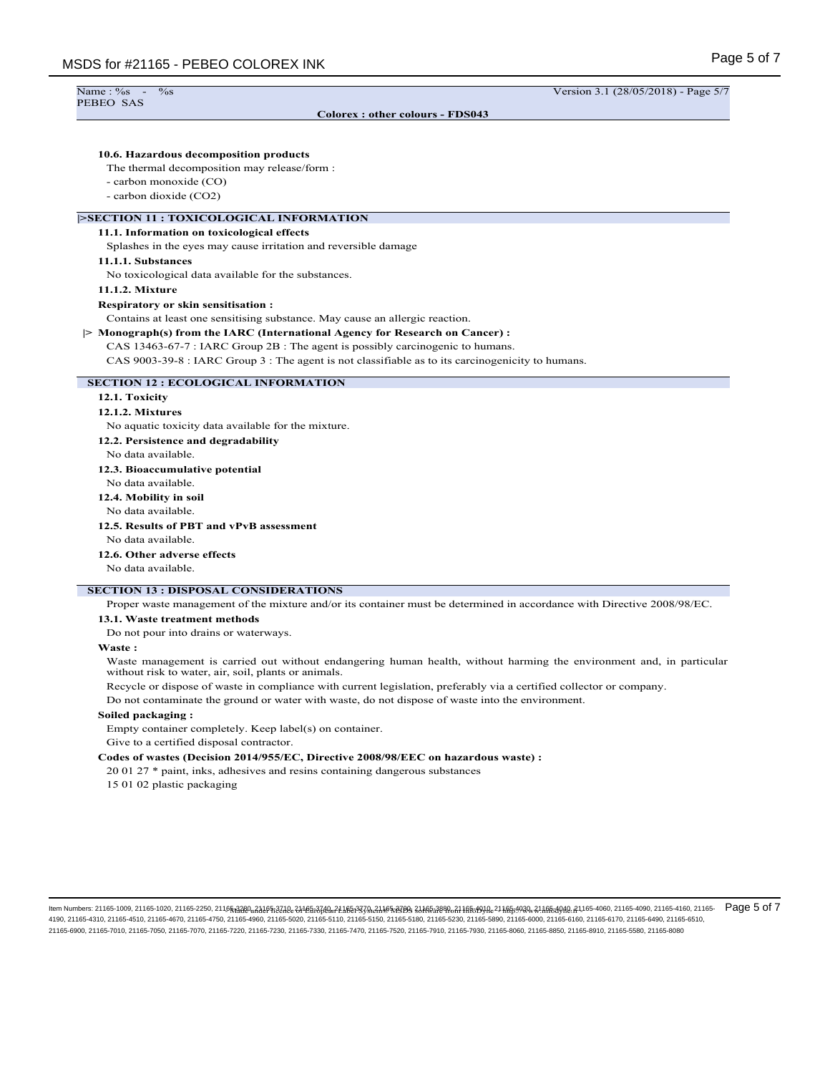PEBEO SAS

**Colorex : other colours - FDS043**

Name : %s - %s - %s Version 3.1 (28/05/2018) - Page 5/7

# **10.6. Hazardous decomposition products**

The thermal decomposition may release/form :

- carbon monoxide (CO)
- carbon dioxide (CO2)

## **|>SECTION 11 : TOXICOLOGICAL INFORMATION**

#### **11.1. Information on toxicological effects**

Splashes in the eyes may cause irritation and reversible damage

#### **11.1.1. Substances**

No toxicological data available for the substances.

#### **11.1.2. Mixture**

#### **Respiratory or skin sensitisation :**

Contains at least one sensitising substance. May cause an allergic reaction.

#### **|> Monograph(s) from the IARC (International Agency for Research on Cancer) :**

CAS 13463-67-7 : IARC Group 2B : The agent is possibly carcinogenic to humans.

CAS 9003-39-8 : IARC Group 3 : The agent is not classifiable as to its carcinogenicity to humans.

#### **SECTION 12 : ECOLOGICAL INFORMATION**

#### **12.1. Toxicity**

#### **12.1.2. Mixtures**

No aquatic toxicity data available for the mixture.

**12.2. Persistence and degradability**

No data available.

#### **12.3. Bioaccumulative potential**

No data available.

**12.4. Mobility in soil**

No data available.

# **12.5. Results of PBT and vPvB assessment**

No data available.

# **12.6. Other adverse effects**

No data available.

# **SECTION 13 : DISPOSAL CONSIDERATIONS**

Proper waste management of the mixture and/or its container must be determined in accordance with Directive 2008/98/EC.

#### **13.1. Waste treatment methods**

Do not pour into drains or waterways.

#### **Waste :**

Waste management is carried out without endangering human health, without harming the environment and, in particular without risk to water, air, soil, plants or animals.

Recycle or dispose of waste in compliance with current legislation, preferably via a certified collector or company.

Do not contaminate the ground or water with waste, do not dispose of waste into the environment.

#### **Soiled packaging :**

Empty container completely. Keep label(s) on container.

Give to a certified disposal contractor.

#### **Codes of wastes (Decision 2014/955/EC, Directive 2008/98/EEC on hazardous waste) :**

20 01 27 \* paint, inks, adhesives and resins containing dangerous substances

15 01 02 plastic packaging

ltem Numbers: 21165-1009, 21165-1020, 21165-2250, 21165<sub>13</sub>220uf2405p227dee21fe5i3740uf2116E3379uf21165x379uf21165x379uf2125bf8ca21ffe5f9y3fe21ffe5ff9y3fe21ffe5ff9y3fe21ffe5f9y3fe21ffe5ff9y3fe21ffe5ff9y3fe21ffe5ff9y3fe21f 4190, 21165-4310, 21165-4510, 21165-4670, 21165-4750, 21165-4760, 21165-5020, 21165-5110, 21165-5150, 21165-5180, 21165-5230, 21165-5890, 21165-6000, 21165-6100, 21165-6100, 21165-6170, 21165-6490, 21165-610, 21165-6510, 21165-6900, 21165-7010, 21165-7050, 21165-7070, 21165-7220, 21165-7230, 21165-7330, 21165-7470, 21165-7520, 21165-7910, 21165-7930, 21165-8060, 21165-8850, 21165-8910, 21165-5580, 21165-8080 Page 5 of 7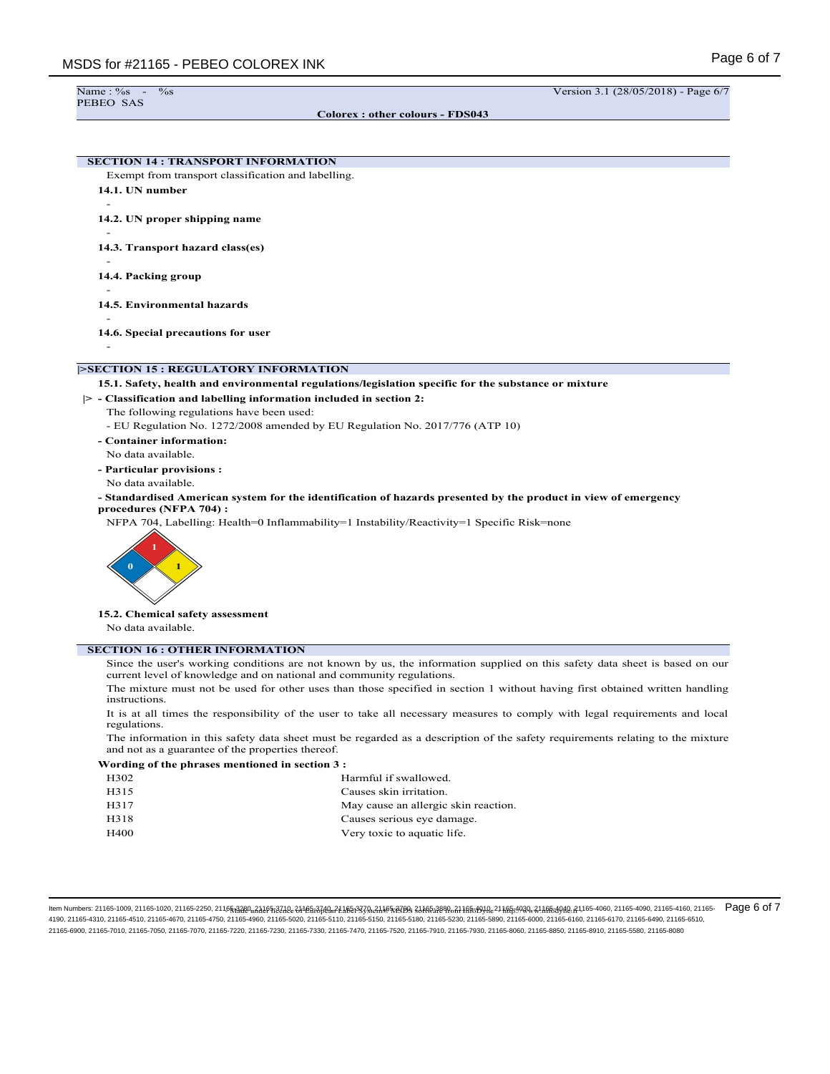```
PEBEO SAS
```
Name : %s - %s Version 3.1 (28/05/2018) - Page 6/7

**Colorex : other colours - FDS043**

**SECTION 14 : TRANSPORT INFORMATION**

- Exempt from transport classification and labelling.
- **14.1. UN number** -
- **14.2. UN proper shipping name**
- **14.3. Transport hazard class(es)**
- **14.4. Packing group**
- -

-

-

-

- **14.5. Environmental hazards** -
- **14.6. Special precautions for user**
- **|>SECTION 15 : REGULATORY INFORMATION**

#### **15.1. Safety, health and environmental regulations/legislation specific for the substance or mixture**

- **|> Classification and labelling information included in section 2:**
	- The following regulations have been used:
		- EU Regulation No. 1272/2008 amended by EU Regulation No. 2017/776 (ATP 10)
	- **Container information:**
	- No data available. **- Particular provisions :**
	- No data available.
	- **Standardised American system for the identification of hazards presented by the product in view of emergency procedures (NFPA 704) :**
		- NFPA 704, Labelling: Health=0 Inflammability=1 Instability/Reactivity=1 Specific Risk=none



**15.2. Chemical safety assessment**

No data available.

# **SECTION 16 : OTHER INFORMATION**

Since the user's working conditions are not known by us, the information supplied on this safety data sheet is based on our current level of knowledge and on national and community regulations.

The mixture must not be used for other uses than those specified in section 1 without having first obtained written handling instructions.

It is at all times the responsibility of the user to take all necessary measures to comply with legal requirements and local regulations.

The information in this safety data sheet must be regarded as a description of the safety requirements relating to the mixture and not as a guarantee of the properties thereof.

#### **Wording of the phrases mentioned in section 3 :**

| H302        | Harmful if swallowed.                |  |
|-------------|--------------------------------------|--|
| H315        | Causes skin irritation.              |  |
| H317        | May cause an allergic skin reaction. |  |
| H318        | Causes serious eye damage.           |  |
| <b>H400</b> | Very toxic to aquatic life.          |  |
|             |                                      |  |

llem Numbers: 21165-1009, 21165-1020, 21165-2250, 2115<del>6,8220, 83</del>165-8240e-81165-8740e-7165-8740e-7165-8740e-8165-8890-811ff6:199Ae-211ff6:199Ae-211ff6:199Ae-211ff6:199Ae-211ff6:199Ae-211ff6:199Ae-211ff6:199Ae-211ff6:199A 4190, 21165-4310, 21165-4510, 21165-4670, 21165-4750, 21165-4960, 21165-5020, 21165-5110, 21165-5150, 21165-6180, 21165-5230, 21165-6390, 21165-6900, 21165-6160, 21165-6170, 21165-6490, 21165-600, 21165-600, 21165-6610, 211 21165-6900, 21165-7010, 21165-7050, 21165-7070, 21165-7220, 21165-7230, 21165-7330, 21165-7470, 21165-7520, 21165-7910, 21165-7930, 21165-8060, 21165-8850, 21165-8910, 21165-5580, 21165-8080